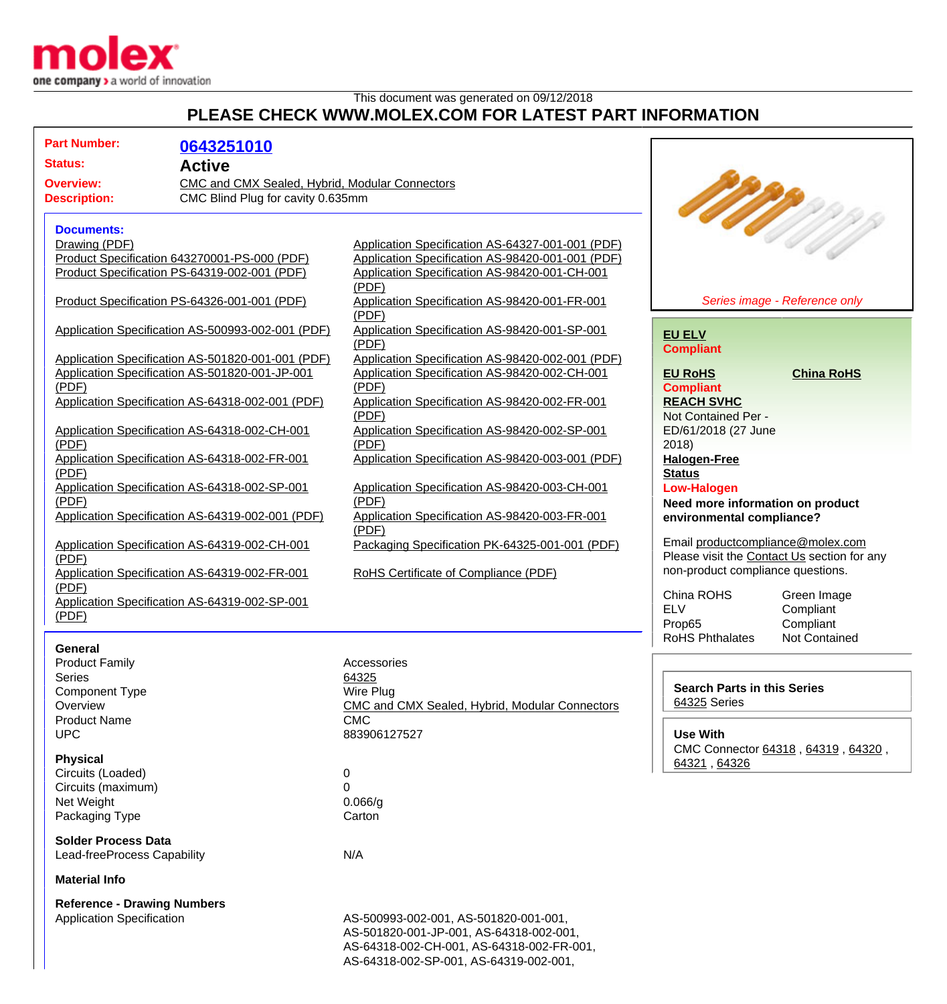

## This document was generated on 09/12/2018

## **PLEASE CHECK WWW.MOLEX.COM FOR LATEST PART INFORMATION**

| <b>Part Number:</b><br>0643251010                                  |                                                        |                                                      |
|--------------------------------------------------------------------|--------------------------------------------------------|------------------------------------------------------|
| <b>Status:</b><br><b>Active</b>                                    |                                                        |                                                      |
| CMC and CMX Sealed, Hybrid, Modular Connectors<br><b>Overview:</b> |                                                        |                                                      |
| CMC Blind Plug for cavity 0.635mm<br><b>Description:</b>           |                                                        | <b>SAMAN</b>                                         |
|                                                                    |                                                        |                                                      |
| <b>Documents:</b>                                                  |                                                        |                                                      |
| Drawing (PDF)                                                      | Application Specification AS-64327-001-001 (PDF)       |                                                      |
| Product Specification 643270001-PS-000 (PDF)                       | Application Specification AS-98420-001-001 (PDF)       |                                                      |
| Product Specification PS-64319-002-001 (PDF)                       | Application Specification AS-98420-001-CH-001          |                                                      |
|                                                                    | (PDF)                                                  |                                                      |
| Product Specification PS-64326-001-001 (PDF)                       | Application Specification AS-98420-001-FR-001          | Series image - Reference only                        |
|                                                                    | (PDF)                                                  |                                                      |
| Application Specification AS-500993-002-001 (PDF)                  | Application Specification AS-98420-001-SP-001          | <b>EU ELV</b>                                        |
|                                                                    | (PDF)                                                  | <b>Compliant</b>                                     |
| Application Specification AS-501820-001-001 (PDF)                  | Application Specification AS-98420-002-001 (PDF)       |                                                      |
| Application Specification AS-501820-001-JP-001                     | Application Specification AS-98420-002-CH-001          | <b>EU RoHS</b><br><b>China RoHS</b>                  |
| (PDF)                                                              | (PDF)                                                  | <b>Compliant</b>                                     |
| Application Specification AS-64318-002-001 (PDF)                   | Application Specification AS-98420-002-FR-001          | <b>REACH SVHC</b>                                    |
| Application Specification AS-64318-002-CH-001                      | (PDF)<br>Application Specification AS-98420-002-SP-001 | Not Contained Per -                                  |
| (PDF)                                                              | (PDF)                                                  | ED/61/2018 (27 June<br>2018                          |
| Application Specification AS-64318-002-FR-001                      | Application Specification AS-98420-003-001 (PDF)       | <b>Halogen-Free</b>                                  |
| (PDF)                                                              |                                                        | <b>Status</b>                                        |
| Application Specification AS-64318-002-SP-001                      | Application Specification AS-98420-003-CH-001          | <b>Low-Halogen</b>                                   |
| (PDF)                                                              | (PDF)                                                  | Need more information on product                     |
| Application Specification AS-64319-002-001 (PDF)                   | Application Specification AS-98420-003-FR-001          | environmental compliance?                            |
|                                                                    | (PDF)                                                  |                                                      |
| Application Specification AS-64319-002-CH-001                      | Packaging Specification PK-64325-001-001 (PDF)         | Email productcompliance@molex.com                    |
| (PDF)                                                              |                                                        | Please visit the Contact Us section for any          |
| Application Specification AS-64319-002-FR-001                      | RoHS Certificate of Compliance (PDF)                   | non-product compliance questions.                    |
| (PDF)                                                              |                                                        |                                                      |
| Application Specification AS-64319-002-SP-001                      |                                                        | China ROHS<br>Green Image<br><b>ELV</b><br>Compliant |
| (PDF)                                                              |                                                        | Prop65<br>Compliant                                  |
|                                                                    |                                                        | <b>RoHS Phthalates</b><br><b>Not Contained</b>       |
| General                                                            |                                                        |                                                      |
| <b>Product Family</b>                                              | Accessories                                            |                                                      |
| <b>Series</b>                                                      | 64325                                                  |                                                      |
| <b>Component Type</b>                                              | Wire Plug                                              | <b>Search Parts in this Series</b>                   |
| Overview                                                           | CMC and CMX Sealed, Hybrid, Modular Connectors         | 64325 Series                                         |
| <b>Product Name</b>                                                | <b>CMC</b>                                             |                                                      |
| <b>UPC</b>                                                         | 883906127527                                           | <b>Use With</b>                                      |
| <b>Physical</b>                                                    |                                                        | CMC Connector 64318, 64319, 64320,                   |
| Circuits (Loaded)                                                  | 0                                                      | 64321, 64326                                         |
| Circuits (maximum)                                                 | $\mathbf 0$                                            |                                                      |
| Net Weight                                                         | 0.066/g                                                |                                                      |
| Packaging Type                                                     | Carton                                                 |                                                      |
|                                                                    |                                                        |                                                      |
| <b>Solder Process Data</b>                                         |                                                        |                                                      |
| Lead-freeProcess Capability                                        | N/A                                                    |                                                      |
| <b>Material Info</b>                                               |                                                        |                                                      |
| <b>Reference - Drawing Numbers</b>                                 |                                                        |                                                      |
| <b>Application Specification</b>                                   | AS-500993-002-001, AS-501820-001-001,                  |                                                      |
|                                                                    | AS-501820-001-JP-001, AS-64318-002-001,                |                                                      |
|                                                                    | AS-64318-002-CH-001, AS-64318-002-FR-001,              |                                                      |
|                                                                    | AS-64318-002-SP-001, AS-64319-002-001,                 |                                                      |